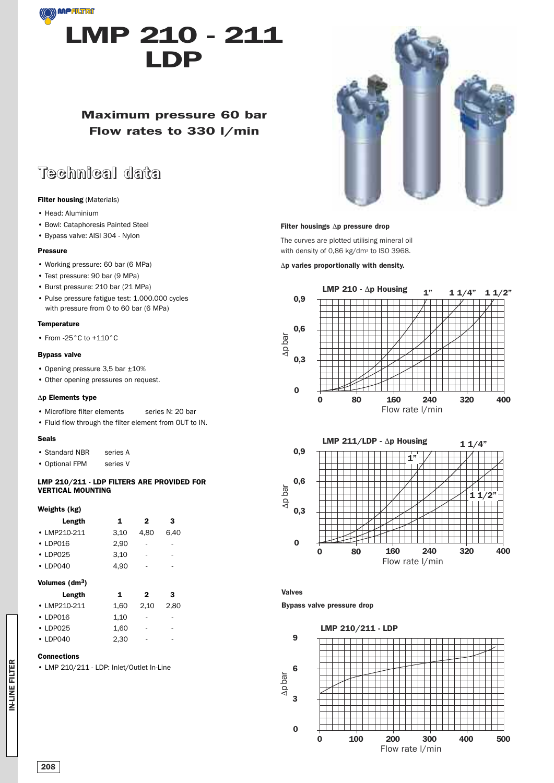

## **Maximum pressure 60 bar Flow rates to 330 l/min**

# **Technical data**

#### **Filter housing** (Materials)

- Head: Aluminium
- Bowl: Cataphoresis Painted Steel
- Bypass valve: AISI 304 Nylon

#### **Pressure**

- Working pressure: 60 bar (6 MPa)
- Test pressure: 90 bar (9 MPa)
- Burst pressure: 210 bar (21 MPa)
- Pulse pressure fatigue test: 1.000.000 cycles with pressure from 0 to 60 bar (6 MPa)

### **Temperature**

• From -25°C to +110°C

#### **Bypass valve**

- Opening pressure 3,5 bar ±10%
- Other opening pressures on request.

#### Δ**p Elements type**

- Microfibre filter elements series N: 20 bar
- Fluid flow through the filter element from OUT to IN.

#### **Seals**

- Standard NBR series A
- Optional FPM series V

#### **LMP 210/211 - LDP FILTERS ARE PROVIDED FOR VERTICAL MOUNTING**

#### **Weights (kg)**

| Length         | 1    | 2                        | 3    |
|----------------|------|--------------------------|------|
| • LMP210-211   | 3.10 | 4.80                     | 6.40 |
| $\cdot$ LDP016 | 2.90 | ٠                        | -    |
| $\cdot$ LDP025 | 3,10 | $\overline{\phantom{a}}$ | ٠    |
| $\cdot$ LDP040 | 4.90 | ٠                        | -    |

#### **Volumes (dm3)**

| Length         | 1    | 2    | 3    |
|----------------|------|------|------|
| • LMP210-211   | 1.60 | 2.10 | 2.80 |
| $\cdot$ LDP016 | 1.10 | ٠    | ٠    |
| $\cdot$ LDP025 | 1.60 | ٠    | -    |
| $\cdot$ LDP040 | 2.30 |      |      |

#### **Connections**

• LMP 210/211 - LDP: Inlet/Outlet In-Line



#### **Filter housings** Δ**p pressure drop**

The curves are plotted utilising mineral oil with density of 0,86 kg/dm<sup>3</sup> to ISO 3968.

Δ**p varies proportionally with density.**





**Valves**

**Bypass valve pressure drop**



IN-LINE FILTER **IN-LINE FILTER**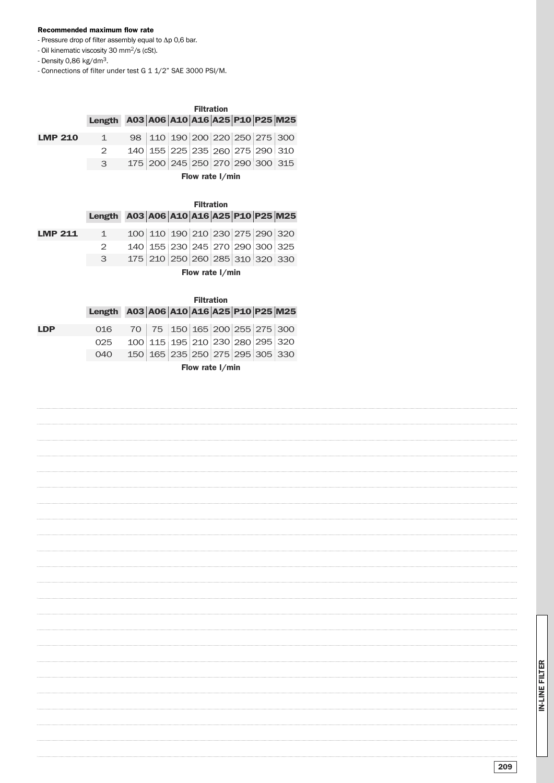#### **Recommended maximum flow rate**

- Pressure drop of filter assembly equal to Δp 0,6 bar.
- Oil kinematic viscosity 30 mm2/s (cSt).
- Density 0,86 kg/dm3.

- Connections of filter under test G 1 1/2" SAE 3000 PSI/M.

## **A03 A06 A10 A16 A25 P10 P25 M25 Length Filtration**

| <b>LMP 210</b> | $\sim$ 1 | 98   110   190   200   220   250   275   300 |                     |  |  |
|----------------|----------|----------------------------------------------|---------------------|--|--|
|                |          | 140 155 225 235 260 275 290 310              |                     |  |  |
|                |          | 175 200 245 250 270 290 300 315              |                     |  |  |
|                |          |                                              | Florence Art Letter |  |  |

**Flow rate l/min**

|     |                                        | <b>Filtration</b> |                                 |  |  |  |  |  |  |
|-----|----------------------------------------|-------------------|---------------------------------|--|--|--|--|--|--|
|     | Length A03 A06 A10 A16 A25 P10 P25 M25 |                   |                                 |  |  |  |  |  |  |
| 211 | $1 \quad$                              |                   | 100 110 190 210 230 275 290 320 |  |  |  |  |  |  |

| <b>LMP 211</b> | $\sim$ 1 | 100 110 190 210 230 275 290 320 |                                 |  |  |  |
|----------------|----------|---------------------------------|---------------------------------|--|--|--|
|                |          |                                 | 140 155 230 245 270 290 300 325 |  |  |  |
|                |          | 175 210 250 260 285 310 320 330 |                                 |  |  |  |

**Flow rate l/min**

|            |                                        | <b>Filtration</b> |                                 |  |  |  |  |  |  |
|------------|----------------------------------------|-------------------|---------------------------------|--|--|--|--|--|--|
|            | Length A03 A06 A10 A16 A25 P10 P25 M25 |                   |                                 |  |  |  |  |  |  |
| <b>LDP</b> | 016                                    |                   | 70 75 150 165 200 255 275 300   |  |  |  |  |  |  |
|            | 025                                    |                   | 100 115 195 210 230 280 295 320 |  |  |  |  |  |  |
|            | 040                                    |                   | 150 165 235 250 275 295 305 330 |  |  |  |  |  |  |
|            |                                        |                   |                                 |  |  |  |  |  |  |

**Flow rate l/min**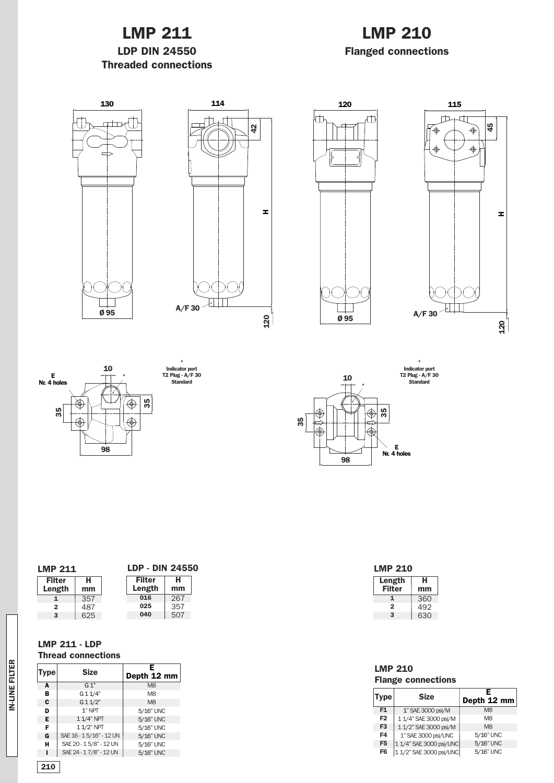# **LMP 211**

## **LDP DIN 24550 Threaded connections**

# **LMP 210 Flanged connections**













| * |     |  | T2 Plug - $A/$<br>Standard |  |
|---|-----|--|----------------------------|--|
|   |     |  |                            |  |
|   | స్ల |  |                            |  |
|   |     |  |                            |  |

**Length Filter**

**LMP 210**

**1 2 3**

**LMP 210**

**F1 F2 F3 F4**

**Flange connections**

**F5** 1 1/4" SAE 3000 psi/UNC **F6** 1 1/2" SAE 3000 psi/UNC

1" SAE 3000 psi/M 11/4" SAE3000psi/M  $\frac{1}{1}$  1/2" SAE 3000 psi/M 1" SAE3000psi/UNC

**E Depth 12 mm**

M8 M8 M8 5/16" UNC 5/16" UNC 5/16" UNC

**Type Size**

**H mm**

360 492 630

## **T2 Plug - A/F 30 Standard**

**Filter Length H mm 1 2 3** 357 487 625 **LMP 211 Filter Length H mm 016 025 040** 267 357 507 **LDP - DIN 24550**

## **LMP 211 - LDP**

### **Thread connections**

| Type | <b>Size</b>             | Depth 12 mm    |
|------|-------------------------|----------------|
| A    | G 1"                    | M <sub>8</sub> |
| в    | G 1 1/4"                | M <sub>8</sub> |
| C    | G11/2"                  | M <sub>8</sub> |
| D    | $1$ " NPT               | 5/16" UNC      |
| Е    | 11/4" NPT               | 5/16" UNC      |
| F    | 11/2" NPT               | 5/16" UNC      |
| G    | SAE 16 - 15/16" - 12 UN | 5/16" UNC      |
| н    | SAE 20 - 15/8" - 12 UN  | 5/16" UNC      |
|      | SAE 24 - 17/8" - 12 UN  | 5/16" UNC      |

| ⊞           |  |
|-------------|--|
| īτ          |  |
| Ļ<br>2<br>۳ |  |
|             |  |
| ÷<br>۰      |  |
|             |  |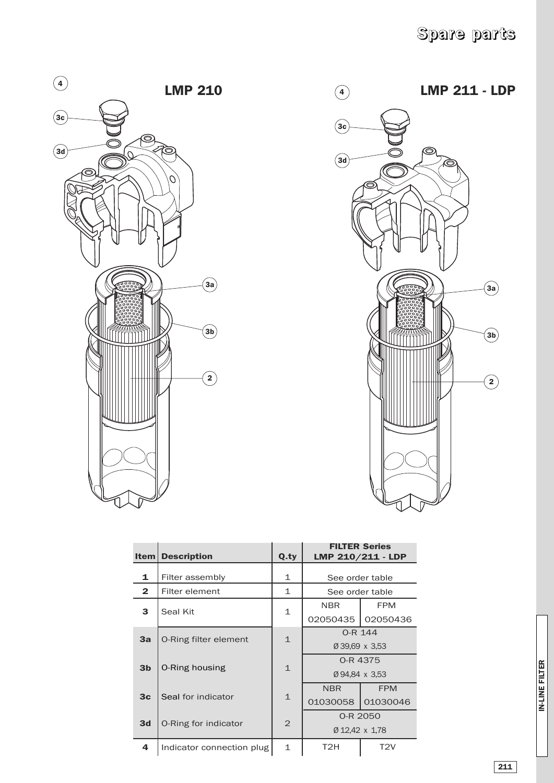



| <b>Item</b>    | <b>Description</b>           | Q.ty           | <b>FILTER Series</b><br>LMP 210/211 - LDP |                  |
|----------------|------------------------------|----------------|-------------------------------------------|------------------|
| 1              | Filter assembly              | 1              | See order table                           |                  |
| $\mathbf{2}$   | Filter element               | 1              | See order table                           |                  |
| 3              | Seal Kit                     | 1              | <b>NBR</b>                                | <b>FPM</b>       |
|                |                              |                | 02050435                                  | 02050436         |
| 3a             | <b>O-Ring filter element</b> | $\mathbf{1}$   | O-R 144                                   |                  |
|                |                              |                | Ø 39.69 x 3.53                            |                  |
| 3 <sub>b</sub> | <b>O-Ring housing</b>        | $\mathbf{1}$   | 0-R 4375                                  |                  |
|                |                              |                | Ø94.84 x 3.53                             |                  |
| 3 <sub>c</sub> | Seal for indicator           | $\mathbf{1}$   | <b>NBR</b>                                | <b>FPM</b>       |
|                |                              |                | 01030058                                  | 01030046         |
| 3d             | O-Ring for indicator         | $\overline{2}$ | 0-R 2050                                  |                  |
|                |                              |                | Ø 12,42 x 1,78                            |                  |
| 4              | Indicator connection plug    | 1              | T2H                                       | T <sub>2</sub> V |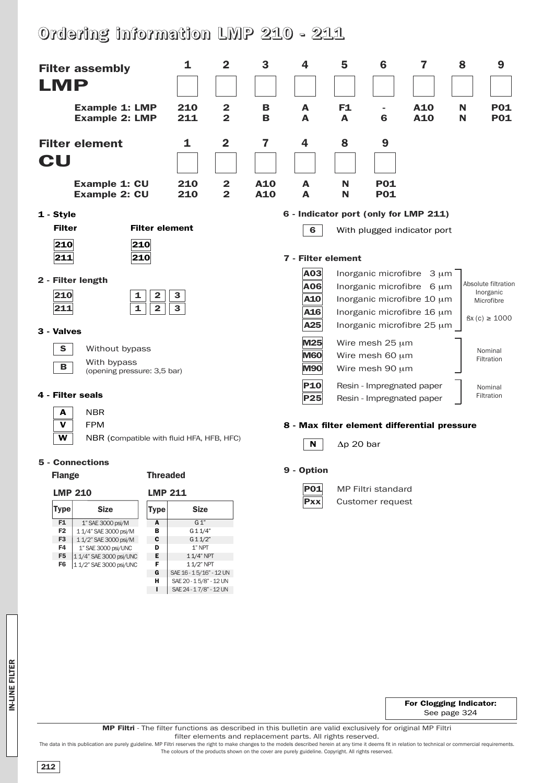# **Ordering information LMP 210 - 211**

**G H I**

SAE20-15/8" - 12UN SAE 24 - 17/8" - 12 UN



IN-LINE FILTER **IN-LINE FILTER**

**For Clogging Indicator:** See page 324

**MP Filtri** - The filter functions as described in this bulletin are valid exclusively for original MP Filtri

filter elements and replacement parts. All rights reserved.

The data in this publication are purely guideline. MP Filtri reserves the right to make changes to the models described herein at any time it deems fit in relation to technical or commercial requirements. The colours of the products shown on the cover are purely guideline. Copyright. All rights reserved.